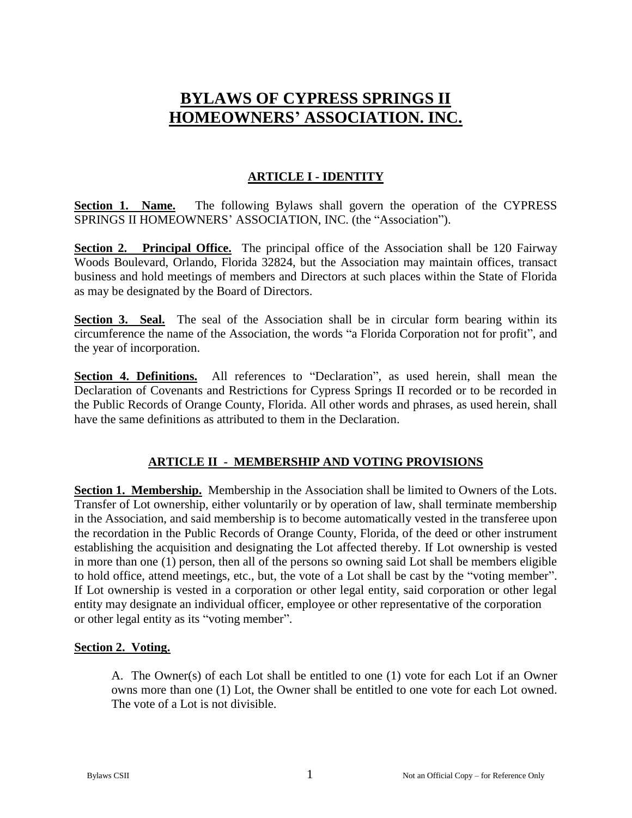# **BYLAWS OF CYPRESS SPRINGS II HOMEOWNERS' ASSOCIATION. INC.**

## **ARTICLE I - IDENTITY**

**Section 1. Name.** The following Bylaws shall govern the operation of the CYPRESS SPRINGS II HOMEOWNERS' ASSOCIATION, INC. (the "Association").

**Section 2. Principal Office.** The principal office of the Association shall be 120 Fairway Woods Boulevard, Orlando, Florida 32824, but the Association may maintain offices, transact business and hold meetings of members and Directors at such places within the State of Florida as may be designated by the Board of Directors.

**Section 3. Seal.** The seal of the Association shall be in circular form bearing within its circumference the name of the Association, the words "a Florida Corporation not for profit", and the year of incorporation.

**Section 4. Definitions.** All references to "Declaration", as used herein, shall mean the Declaration of Covenants and Restrictions for Cypress Springs II recorded or to be recorded in the Public Records of Orange County, Florida. All other words and phrases, as used herein, shall have the same definitions as attributed to them in the Declaration.

## **ARTICLE II - MEMBERSHIP AND VOTING PROVISIONS**

**Section 1. Membership.** Membership in the Association shall be limited to Owners of the Lots. Transfer of Lot ownership, either voluntarily or by operation of law, shall terminate membership in the Association, and said membership is to become automatically vested in the transferee upon the recordation in the Public Records of Orange County, Florida, of the deed or other instrument establishing the acquisition and designating the Lot affected thereby. If Lot ownership is vested in more than one (1) person, then all of the persons so owning said Lot shall be members eligible to hold office, attend meetings, etc., but, the vote of a Lot shall be cast by the "voting member". If Lot ownership is vested in a corporation or other legal entity, said corporation or other legal entity may designate an individual officer, employee or other representative of the corporation or other legal entity as its "voting member".

## **Section 2. Voting.**

A. The Owner(s) of each Lot shall be entitled to one (1) vote for each Lot if an Owner owns more than one (1) Lot, the Owner shall be entitled to one vote for each Lot owned. The vote of a Lot is not divisible.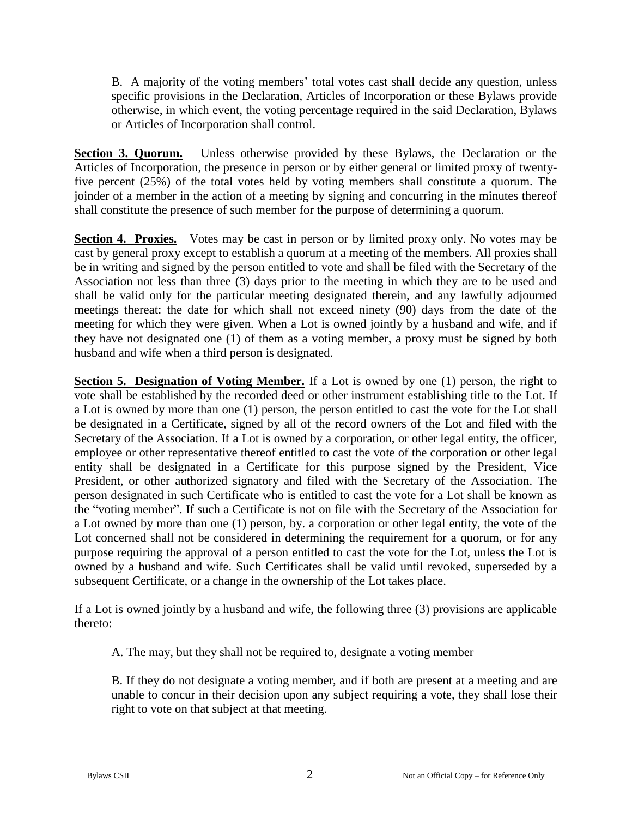B. A majority of the voting members' total votes cast shall decide any question, unless specific provisions in the Declaration, Articles of Incorporation or these Bylaws provide otherwise, in which event, the voting percentage required in the said Declaration, Bylaws or Articles of Incorporation shall control.

**Section 3. Quorum.** Unless otherwise provided by these Bylaws, the Declaration or the Articles of Incorporation, the presence in person or by either general or limited proxy of twentyfive percent (25%) of the total votes held by voting members shall constitute a quorum. The joinder of a member in the action of a meeting by signing and concurring in the minutes thereof shall constitute the presence of such member for the purpose of determining a quorum.

**Section 4. Proxies.** Votes may be cast in person or by limited proxy only. No votes may be cast by general proxy except to establish a quorum at a meeting of the members. All proxies shall be in writing and signed by the person entitled to vote and shall be filed with the Secretary of the Association not less than three (3) days prior to the meeting in which they are to be used and shall be valid only for the particular meeting designated therein, and any lawfully adjourned meetings thereat: the date for which shall not exceed ninety (90) days from the date of the meeting for which they were given. When a Lot is owned jointly by a husband and wife, and if they have not designated one (1) of them as a voting member, a proxy must be signed by both husband and wife when a third person is designated.

**Section 5. Designation of Voting Member.** If a Lot is owned by one (1) person, the right to vote shall be established by the recorded deed or other instrument establishing title to the Lot. If a Lot is owned by more than one (1) person, the person entitled to cast the vote for the Lot shall be designated in a Certificate, signed by all of the record owners of the Lot and filed with the Secretary of the Association. If a Lot is owned by a corporation, or other legal entity, the officer, employee or other representative thereof entitled to cast the vote of the corporation or other legal entity shall be designated in a Certificate for this purpose signed by the President, Vice President, or other authorized signatory and filed with the Secretary of the Association. The person designated in such Certificate who is entitled to cast the vote for a Lot shall be known as the "voting member". If such a Certificate is not on file with the Secretary of the Association for a Lot owned by more than one (1) person, by. a corporation or other legal entity, the vote of the Lot concerned shall not be considered in determining the requirement for a quorum, or for any purpose requiring the approval of a person entitled to cast the vote for the Lot, unless the Lot is owned by a husband and wife. Such Certificates shall be valid until revoked, superseded by a subsequent Certificate, or a change in the ownership of the Lot takes place.

If a Lot is owned jointly by a husband and wife, the following three (3) provisions are applicable thereto:

A. The may, but they shall not be required to, designate a voting member

B. If they do not designate a voting member, and if both are present at a meeting and are unable to concur in their decision upon any subject requiring a vote, they shall lose their right to vote on that subject at that meeting.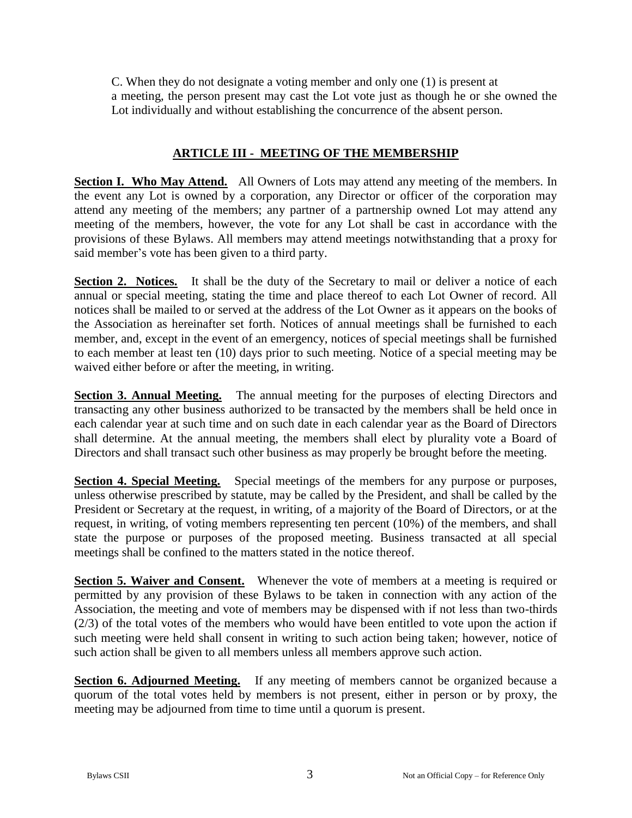C. When they do not designate a voting member and only one (1) is present at a meeting, the person present may cast the Lot vote just as though he or she owned the Lot individually and without establishing the concurrence of the absent person.

## **ARTICLE III - MEETING OF THE MEMBERSHIP**

**Section I. Who May Attend.** All Owners of Lots may attend any meeting of the members. In the event any Lot is owned by a corporation, any Director or officer of the corporation may attend any meeting of the members; any partner of a partnership owned Lot may attend any meeting of the members, however, the vote for any Lot shall be cast in accordance with the provisions of these Bylaws. All members may attend meetings notwithstanding that a proxy for said member's vote has been given to a third party.

**Section 2. Notices.** It shall be the duty of the Secretary to mail or deliver a notice of each annual or special meeting, stating the time and place thereof to each Lot Owner of record. All notices shall be mailed to or served at the address of the Lot Owner as it appears on the books of the Association as hereinafter set forth. Notices of annual meetings shall be furnished to each member, and, except in the event of an emergency, notices of special meetings shall be furnished to each member at least ten (10) days prior to such meeting. Notice of a special meeting may be waived either before or after the meeting, in writing.

**Section 3. Annual Meeting.** The annual meeting for the purposes of electing Directors and transacting any other business authorized to be transacted by the members shall be held once in each calendar year at such time and on such date in each calendar year as the Board of Directors shall determine. At the annual meeting, the members shall elect by plurality vote a Board of Directors and shall transact such other business as may properly be brought before the meeting.

**Section 4. Special Meeting.** Special meetings of the members for any purpose or purposes, unless otherwise prescribed by statute, may be called by the President, and shall be called by the President or Secretary at the request, in writing, of a majority of the Board of Directors, or at the request, in writing, of voting members representing ten percent (10%) of the members, and shall state the purpose or purposes of the proposed meeting. Business transacted at all special meetings shall be confined to the matters stated in the notice thereof.

**Section 5. Waiver and Consent.** Whenever the vote of members at a meeting is required or permitted by any provision of these Bylaws to be taken in connection with any action of the Association, the meeting and vote of members may be dispensed with if not less than two-thirds (2/3) of the total votes of the members who would have been entitled to vote upon the action if such meeting were held shall consent in writing to such action being taken; however, notice of such action shall be given to all members unless all members approve such action.

**Section 6. Adjourned Meeting.** If any meeting of members cannot be organized because a quorum of the total votes held by members is not present, either in person or by proxy, the meeting may be adjourned from time to time until a quorum is present.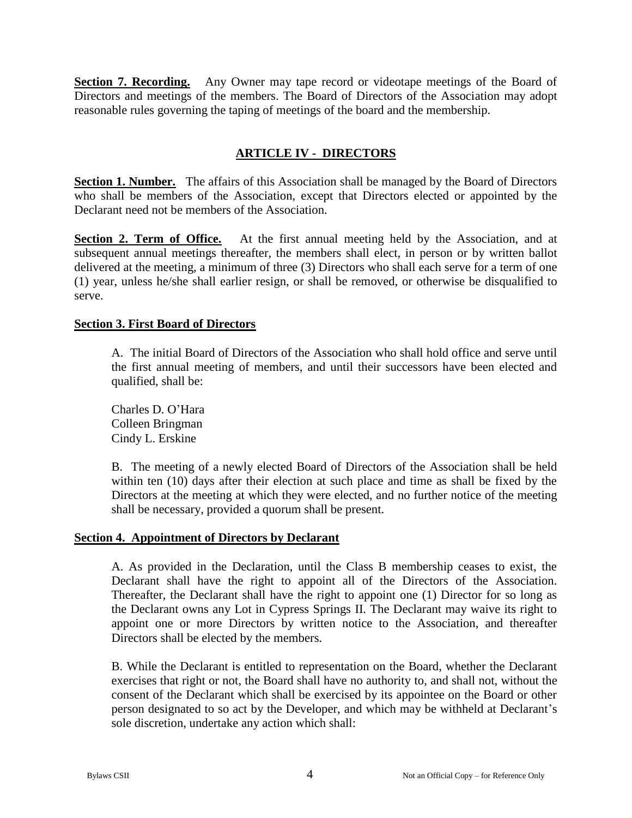**Section 7. Recording.** Any Owner may tape record or videotape meetings of the Board of Directors and meetings of the members. The Board of Directors of the Association may adopt reasonable rules governing the taping of meetings of the board and the membership.

## **ARTICLE IV - DIRECTORS**

**Section 1. Number.** The affairs of this Association shall be managed by the Board of Directors who shall be members of the Association, except that Directors elected or appointed by the Declarant need not be members of the Association.

**Section 2. Term of Office.** At the first annual meeting held by the Association, and at subsequent annual meetings thereafter, the members shall elect, in person or by written ballot delivered at the meeting, a minimum of three (3) Directors who shall each serve for a term of one (1) year, unless he/she shall earlier resign, or shall be removed, or otherwise be disqualified to serve.

#### **Section 3. First Board of Directors**

A. The initial Board of Directors of the Association who shall hold office and serve until the first annual meeting of members, and until their successors have been elected and qualified, shall be:

Charles D. O'Hara Colleen Bringman Cindy L. Erskine

B. The meeting of a newly elected Board of Directors of the Association shall be held within ten (10) days after their election at such place and time as shall be fixed by the Directors at the meeting at which they were elected, and no further notice of the meeting shall be necessary, provided a quorum shall be present.

#### **Section 4. Appointment of Directors by Declarant**

A. As provided in the Declaration, until the Class B membership ceases to exist, the Declarant shall have the right to appoint all of the Directors of the Association. Thereafter, the Declarant shall have the right to appoint one (1) Director for so long as the Declarant owns any Lot in Cypress Springs II. The Declarant may waive its right to appoint one or more Directors by written notice to the Association, and thereafter Directors shall be elected by the members.

B. While the Declarant is entitled to representation on the Board, whether the Declarant exercises that right or not, the Board shall have no authority to, and shall not, without the consent of the Declarant which shall be exercised by its appointee on the Board or other person designated to so act by the Developer, and which may be withheld at Declarant's sole discretion, undertake any action which shall: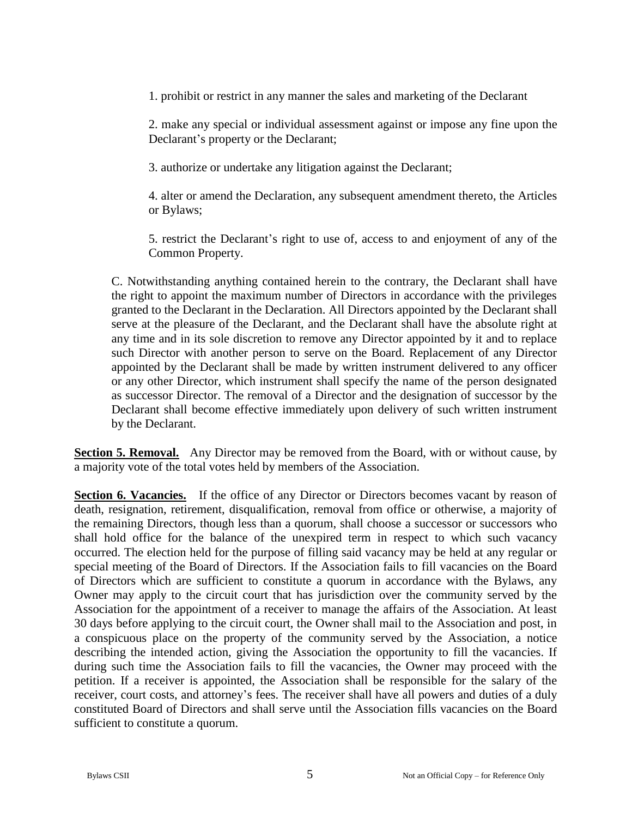1. prohibit or restrict in any manner the sales and marketing of the Declarant

2. make any special or individual assessment against or impose any fine upon the Declarant's property or the Declarant;

3. authorize or undertake any litigation against the Declarant;

4. alter or amend the Declaration, any subsequent amendment thereto, the Articles or Bylaws;

5. restrict the Declarant's right to use of, access to and enjoyment of any of the Common Property.

C. Notwithstanding anything contained herein to the contrary, the Declarant shall have the right to appoint the maximum number of Directors in accordance with the privileges granted to the Declarant in the Declaration. All Directors appointed by the Declarant shall serve at the pleasure of the Declarant, and the Declarant shall have the absolute right at any time and in its sole discretion to remove any Director appointed by it and to replace such Director with another person to serve on the Board. Replacement of any Director appointed by the Declarant shall be made by written instrument delivered to any officer or any other Director, which instrument shall specify the name of the person designated as successor Director. The removal of a Director and the designation of successor by the Declarant shall become effective immediately upon delivery of such written instrument by the Declarant.

**Section 5. Removal.** Any Director may be removed from the Board, with or without cause, by a majority vote of the total votes held by members of the Association.

**Section 6. Vacancies.** If the office of any Director or Directors becomes vacant by reason of death, resignation, retirement, disqualification, removal from office or otherwise, a majority of the remaining Directors, though less than a quorum, shall choose a successor or successors who shall hold office for the balance of the unexpired term in respect to which such vacancy occurred. The election held for the purpose of filling said vacancy may be held at any regular or special meeting of the Board of Directors. If the Association fails to fill vacancies on the Board of Directors which are sufficient to constitute a quorum in accordance with the Bylaws, any Owner may apply to the circuit court that has jurisdiction over the community served by the Association for the appointment of a receiver to manage the affairs of the Association. At least 30 days before applying to the circuit court, the Owner shall mail to the Association and post, in a conspicuous place on the property of the community served by the Association, a notice describing the intended action, giving the Association the opportunity to fill the vacancies. If during such time the Association fails to fill the vacancies, the Owner may proceed with the petition. If a receiver is appointed, the Association shall be responsible for the salary of the receiver, court costs, and attorney's fees. The receiver shall have all powers and duties of a duly constituted Board of Directors and shall serve until the Association fills vacancies on the Board sufficient to constitute a quorum.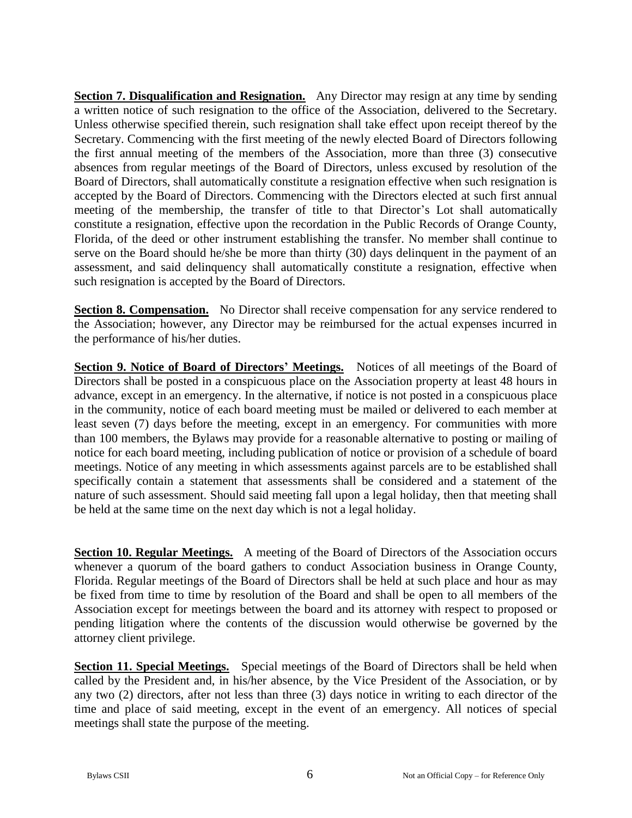**Section 7. Disqualification and Resignation.** Any Director may resign at any time by sending a written notice of such resignation to the office of the Association, delivered to the Secretary. Unless otherwise specified therein, such resignation shall take effect upon receipt thereof by the Secretary. Commencing with the first meeting of the newly elected Board of Directors following the first annual meeting of the members of the Association, more than three (3) consecutive absences from regular meetings of the Board of Directors, unless excused by resolution of the Board of Directors, shall automatically constitute a resignation effective when such resignation is accepted by the Board of Directors. Commencing with the Directors elected at such first annual meeting of the membership, the transfer of title to that Director's Lot shall automatically constitute a resignation, effective upon the recordation in the Public Records of Orange County, Florida, of the deed or other instrument establishing the transfer. No member shall continue to serve on the Board should he/she be more than thirty (30) days delinquent in the payment of an assessment, and said delinquency shall automatically constitute a resignation, effective when such resignation is accepted by the Board of Directors.

**Section 8. Compensation.** No Director shall receive compensation for any service rendered to the Association; however, any Director may be reimbursed for the actual expenses incurred in the performance of his/her duties.

**Section 9. Notice of Board of Directors' Meetings.** Notices of all meetings of the Board of Directors shall be posted in a conspicuous place on the Association property at least 48 hours in advance, except in an emergency. In the alternative, if notice is not posted in a conspicuous place in the community, notice of each board meeting must be mailed or delivered to each member at least seven (7) days before the meeting, except in an emergency. For communities with more than 100 members, the Bylaws may provide for a reasonable alternative to posting or mailing of notice for each board meeting, including publication of notice or provision of a schedule of board meetings. Notice of any meeting in which assessments against parcels are to be established shall specifically contain a statement that assessments shall be considered and a statement of the nature of such assessment. Should said meeting fall upon a legal holiday, then that meeting shall be held at the same time on the next day which is not a legal holiday.

**Section 10. Regular Meetings.** A meeting of the Board of Directors of the Association occurs whenever a quorum of the board gathers to conduct Association business in Orange County, Florida. Regular meetings of the Board of Directors shall be held at such place and hour as may be fixed from time to time by resolution of the Board and shall be open to all members of the Association except for meetings between the board and its attorney with respect to proposed or pending litigation where the contents of the discussion would otherwise be governed by the attorney client privilege.

**Section 11. Special Meetings.** Special meetings of the Board of Directors shall be held when called by the President and, in his/her absence, by the Vice President of the Association, or by any two (2) directors, after not less than three (3) days notice in writing to each director of the time and place of said meeting, except in the event of an emergency. All notices of special meetings shall state the purpose of the meeting.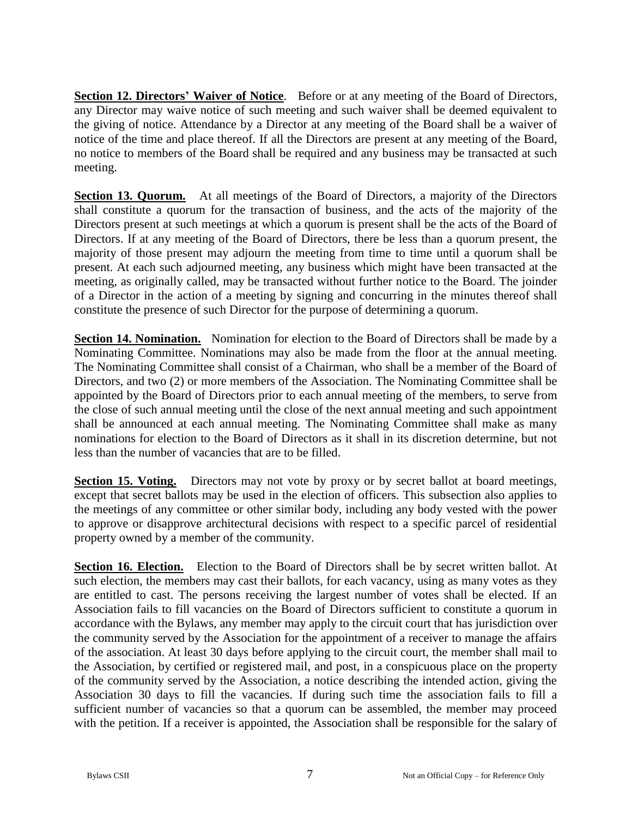**Section 12. Directors' Waiver of Notice**. Before or at any meeting of the Board of Directors, any Director may waive notice of such meeting and such waiver shall be deemed equivalent to the giving of notice. Attendance by a Director at any meeting of the Board shall be a waiver of notice of the time and place thereof. If all the Directors are present at any meeting of the Board, no notice to members of the Board shall be required and any business may be transacted at such meeting.

**Section 13. Quorum.** At all meetings of the Board of Directors, a majority of the Directors shall constitute a quorum for the transaction of business, and the acts of the majority of the Directors present at such meetings at which a quorum is present shall be the acts of the Board of Directors. If at any meeting of the Board of Directors, there be less than a quorum present, the majority of those present may adjourn the meeting from time to time until a quorum shall be present. At each such adjourned meeting, any business which might have been transacted at the meeting, as originally called, may be transacted without further notice to the Board. The joinder of a Director in the action of a meeting by signing and concurring in the minutes thereof shall constitute the presence of such Director for the purpose of determining a quorum.

**Section 14. Nomination.** Nomination for election to the Board of Directors shall be made by a Nominating Committee. Nominations may also be made from the floor at the annual meeting. The Nominating Committee shall consist of a Chairman, who shall be a member of the Board of Directors, and two (2) or more members of the Association. The Nominating Committee shall be appointed by the Board of Directors prior to each annual meeting of the members, to serve from the close of such annual meeting until the close of the next annual meeting and such appointment shall be announced at each annual meeting. The Nominating Committee shall make as many nominations for election to the Board of Directors as it shall in its discretion determine, but not less than the number of vacancies that are to be filled.

**Section 15. Voting.** Directors may not vote by proxy or by secret ballot at board meetings, except that secret ballots may be used in the election of officers. This subsection also applies to the meetings of any committee or other similar body, including any body vested with the power to approve or disapprove architectural decisions with respect to a specific parcel of residential property owned by a member of the community.

**Section 16. Election.** Election to the Board of Directors shall be by secret written ballot. At such election, the members may cast their ballots, for each vacancy, using as many votes as they are entitled to cast. The persons receiving the largest number of votes shall be elected. If an Association fails to fill vacancies on the Board of Directors sufficient to constitute a quorum in accordance with the Bylaws, any member may apply to the circuit court that has jurisdiction over the community served by the Association for the appointment of a receiver to manage the affairs of the association. At least 30 days before applying to the circuit court, the member shall mail to the Association, by certified or registered mail, and post, in a conspicuous place on the property of the community served by the Association, a notice describing the intended action, giving the Association 30 days to fill the vacancies. If during such time the association fails to fill a sufficient number of vacancies so that a quorum can be assembled, the member may proceed with the petition. If a receiver is appointed, the Association shall be responsible for the salary of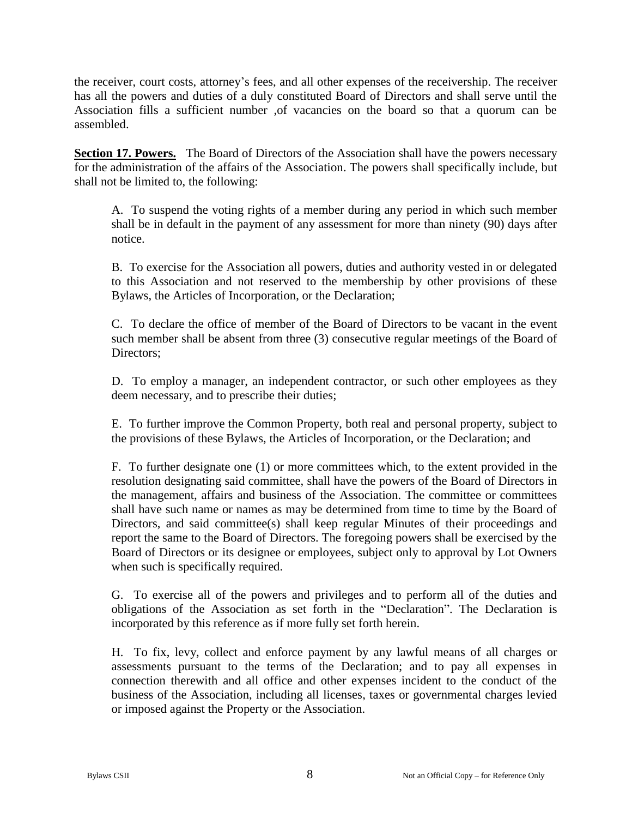the receiver, court costs, attorney's fees, and all other expenses of the receivership. The receiver has all the powers and duties of a duly constituted Board of Directors and shall serve until the Association fills a sufficient number ,of vacancies on the board so that a quorum can be assembled.

**Section 17. Powers.** The Board of Directors of the Association shall have the powers necessary for the administration of the affairs of the Association. The powers shall specifically include, but shall not be limited to, the following:

A. To suspend the voting rights of a member during any period in which such member shall be in default in the payment of any assessment for more than ninety (90) days after notice.

B. To exercise for the Association all powers, duties and authority vested in or delegated to this Association and not reserved to the membership by other provisions of these Bylaws, the Articles of Incorporation, or the Declaration;

C. To declare the office of member of the Board of Directors to be vacant in the event such member shall be absent from three (3) consecutive regular meetings of the Board of Directors;

D. To employ a manager, an independent contractor, or such other employees as they deem necessary, and to prescribe their duties;

E. To further improve the Common Property, both real and personal property, subject to the provisions of these Bylaws, the Articles of Incorporation, or the Declaration; and

F. To further designate one (1) or more committees which, to the extent provided in the resolution designating said committee, shall have the powers of the Board of Directors in the management, affairs and business of the Association. The committee or committees shall have such name or names as may be determined from time to time by the Board of Directors, and said committee(s) shall keep regular Minutes of their proceedings and report the same to the Board of Directors. The foregoing powers shall be exercised by the Board of Directors or its designee or employees, subject only to approval by Lot Owners when such is specifically required.

G. To exercise all of the powers and privileges and to perform all of the duties and obligations of the Association as set forth in the "Declaration". The Declaration is incorporated by this reference as if more fully set forth herein.

H. To fix, levy, collect and enforce payment by any lawful means of all charges or assessments pursuant to the terms of the Declaration; and to pay all expenses in connection therewith and all office and other expenses incident to the conduct of the business of the Association, including all licenses, taxes or governmental charges levied or imposed against the Property or the Association.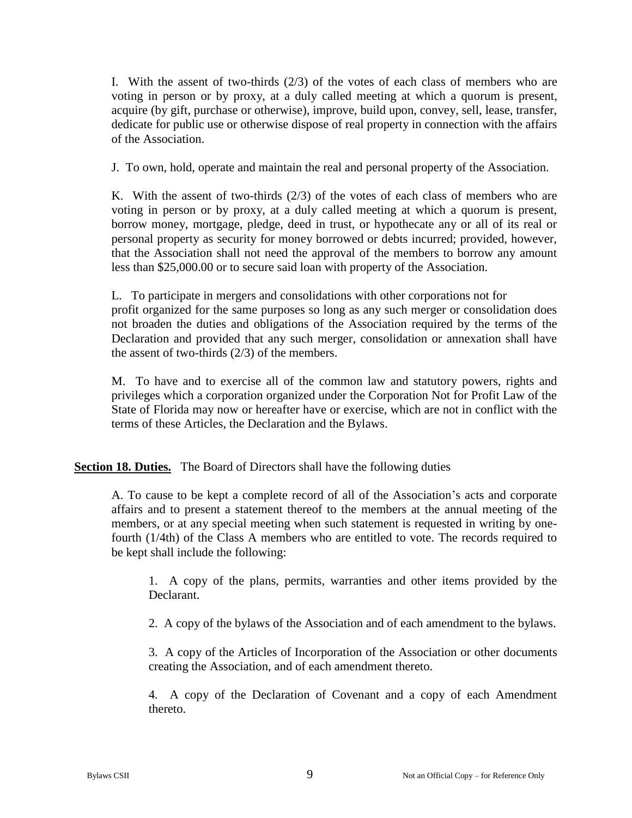I. With the assent of two-thirds (2/3) of the votes of each class of members who are voting in person or by proxy, at a duly called meeting at which a quorum is present, acquire (by gift, purchase or otherwise), improve, build upon, convey, sell, lease, transfer, dedicate for public use or otherwise dispose of real property in connection with the affairs of the Association.

J. To own, hold, operate and maintain the real and personal property of the Association.

K. With the assent of two-thirds  $(2/3)$  of the votes of each class of members who are voting in person or by proxy, at a duly called meeting at which a quorum is present, borrow money, mortgage, pledge, deed in trust, or hypothecate any or all of its real or personal property as security for money borrowed or debts incurred; provided, however, that the Association shall not need the approval of the members to borrow any amount less than \$25,000.00 or to secure said loan with property of the Association.

L. To participate in mergers and consolidations with other corporations not for profit organized for the same purposes so long as any such merger or consolidation does not broaden the duties and obligations of the Association required by the terms of the Declaration and provided that any such merger, consolidation or annexation shall have the assent of two-thirds (2/3) of the members.

M. To have and to exercise all of the common law and statutory powers, rights and privileges which a corporation organized under the Corporation Not for Profit Law of the State of Florida may now or hereafter have or exercise, which are not in conflict with the terms of these Articles, the Declaration and the Bylaws.

**<u>Section 18. Duties.</u>** The Board of Directors shall have the following duties

A. To cause to be kept a complete record of all of the Association's acts and corporate affairs and to present a statement thereof to the members at the annual meeting of the members, or at any special meeting when such statement is requested in writing by onefourth (1/4th) of the Class A members who are entitled to vote. The records required to be kept shall include the following:

1. A copy of the plans, permits, warranties and other items provided by the Declarant.

2. A copy of the bylaws of the Association and of each amendment to the bylaws.

3. A copy of the Articles of Incorporation of the Association or other documents creating the Association, and of each amendment thereto.

4. A copy of the Declaration of Covenant and a copy of each Amendment thereto.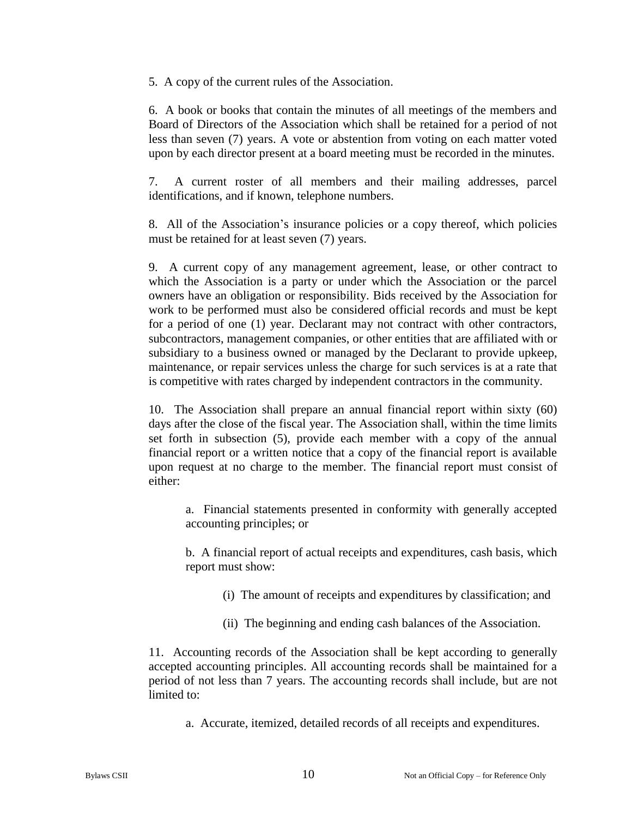5. A copy of the current rules of the Association.

6. A book or books that contain the minutes of all meetings of the members and Board of Directors of the Association which shall be retained for a period of not less than seven (7) years. A vote or abstention from voting on each matter voted upon by each director present at a board meeting must be recorded in the minutes.

7. A current roster of all members and their mailing addresses, parcel identifications, and if known, telephone numbers.

8. All of the Association's insurance policies or a copy thereof, which policies must be retained for at least seven (7) years.

9. A current copy of any management agreement, lease, or other contract to which the Association is a party or under which the Association or the parcel owners have an obligation or responsibility. Bids received by the Association for work to be performed must also be considered official records and must be kept for a period of one (1) year. Declarant may not contract with other contractors, subcontractors, management companies, or other entities that are affiliated with or subsidiary to a business owned or managed by the Declarant to provide upkeep, maintenance, or repair services unless the charge for such services is at a rate that is competitive with rates charged by independent contractors in the community.

10. The Association shall prepare an annual financial report within sixty (60) days after the close of the fiscal year. The Association shall, within the time limits set forth in subsection (5), provide each member with a copy of the annual financial report or a written notice that a copy of the financial report is available upon request at no charge to the member. The financial report must consist of either:

a. Financial statements presented in conformity with generally accepted accounting principles; or

b. A financial report of actual receipts and expenditures, cash basis, which report must show:

- (i) The amount of receipts and expenditures by classification; and
- (ii) The beginning and ending cash balances of the Association.

11. Accounting records of the Association shall be kept according to generally accepted accounting principles. All accounting records shall be maintained for a period of not less than 7 years. The accounting records shall include, but are not limited to:

a. Accurate, itemized, detailed records of all receipts and expenditures.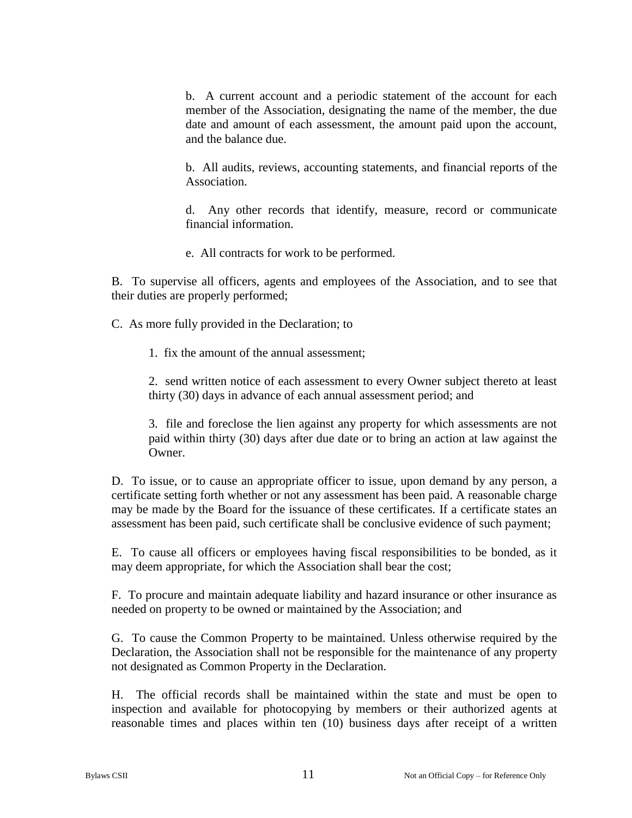b. A current account and a periodic statement of the account for each member of the Association, designating the name of the member, the due date and amount of each assessment, the amount paid upon the account, and the balance due.

b. All audits, reviews, accounting statements, and financial reports of the Association.

d. Any other records that identify, measure, record or communicate financial information.

e. All contracts for work to be performed.

B. To supervise all officers, agents and employees of the Association, and to see that their duties are properly performed;

C. As more fully provided in the Declaration; to

1. fix the amount of the annual assessment;

2. send written notice of each assessment to every Owner subject thereto at least thirty (30) days in advance of each annual assessment period; and

3. file and foreclose the lien against any property for which assessments are not paid within thirty (30) days after due date or to bring an action at law against the Owner.

D. To issue, or to cause an appropriate officer to issue, upon demand by any person, a certificate setting forth whether or not any assessment has been paid. A reasonable charge may be made by the Board for the issuance of these certificates. If a certificate states an assessment has been paid, such certificate shall be conclusive evidence of such payment;

E. To cause all officers or employees having fiscal responsibilities to be bonded, as it may deem appropriate, for which the Association shall bear the cost;

F. To procure and maintain adequate liability and hazard insurance or other insurance as needed on property to be owned or maintained by the Association; and

G. To cause the Common Property to be maintained. Unless otherwise required by the Declaration, the Association shall not be responsible for the maintenance of any property not designated as Common Property in the Declaration.

H. The official records shall be maintained within the state and must be open to inspection and available for photocopying by members or their authorized agents at reasonable times and places within ten (10) business days after receipt of a written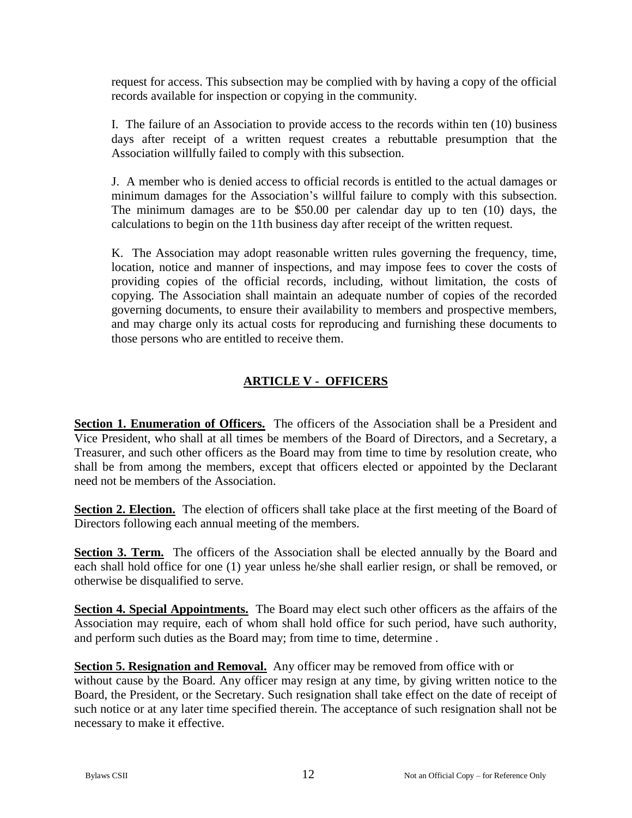request for access. This subsection may be complied with by having a copy of the official records available for inspection or copying in the community.

I. The failure of an Association to provide access to the records within ten (10) business days after receipt of a written request creates a rebuttable presumption that the Association willfully failed to comply with this subsection.

J. A member who is denied access to official records is entitled to the actual damages or minimum damages for the Association's willful failure to comply with this subsection. The minimum damages are to be \$50.00 per calendar day up to ten (10) days, the calculations to begin on the 11th business day after receipt of the written request.

K. The Association may adopt reasonable written rules governing the frequency, time, location, notice and manner of inspections, and may impose fees to cover the costs of providing copies of the official records, including, without limitation, the costs of copying. The Association shall maintain an adequate number of copies of the recorded governing documents, to ensure their availability to members and prospective members, and may charge only its actual costs for reproducing and furnishing these documents to those persons who are entitled to receive them.

# **ARTICLE V - OFFICERS**

**Section 1. Enumeration of Officers.** The officers of the Association shall be a President and Vice President, who shall at all times be members of the Board of Directors, and a Secretary, a Treasurer, and such other officers as the Board may from time to time by resolution create, who shall be from among the members, except that officers elected or appointed by the Declarant need not be members of the Association.

**Section 2. Election.** The election of officers shall take place at the first meeting of the Board of Directors following each annual meeting of the members.

**Section 3. Term.** The officers of the Association shall be elected annually by the Board and each shall hold office for one (1) year unless he/she shall earlier resign, or shall be removed, or otherwise be disqualified to serve.

**Section 4. Special Appointments.** The Board may elect such other officers as the affairs of the Association may require, each of whom shall hold office for such period, have such authority, and perform such duties as the Board may; from time to time, determine .

**Section 5. Resignation and Removal.** Any officer may be removed from office with or without cause by the Board. Any officer may resign at any time, by giving written notice to the Board, the President, or the Secretary. Such resignation shall take effect on the date of receipt of such notice or at any later time specified therein. The acceptance of such resignation shall not be necessary to make it effective.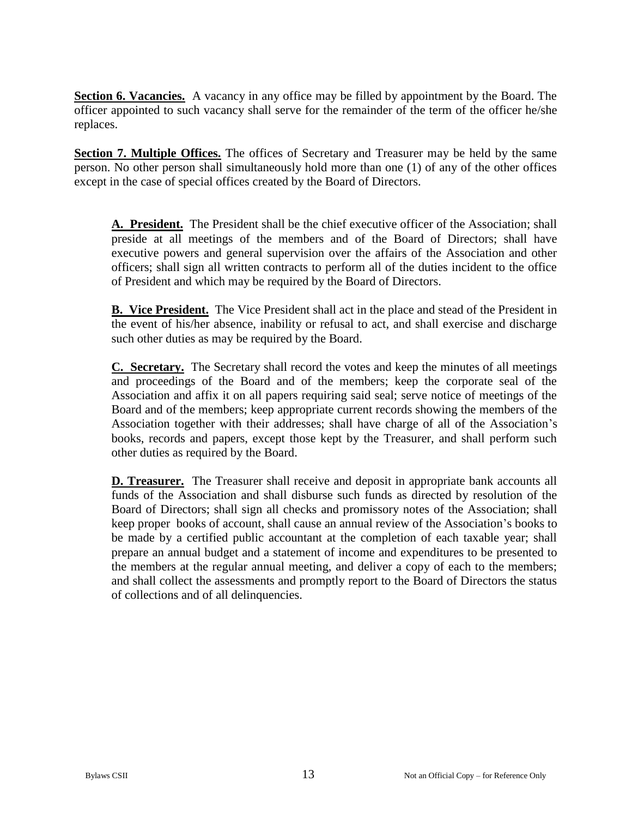**Section 6. Vacancies.** A vacancy in any office may be filled by appointment by the Board. The officer appointed to such vacancy shall serve for the remainder of the term of the officer he/she replaces.

**Section 7. Multiple Offices.** The offices of Secretary and Treasurer may be held by the same person. No other person shall simultaneously hold more than one (1) of any of the other offices except in the case of special offices created by the Board of Directors.

**A. President.** The President shall be the chief executive officer of the Association; shall preside at all meetings of the members and of the Board of Directors; shall have executive powers and general supervision over the affairs of the Association and other officers; shall sign all written contracts to perform all of the duties incident to the office of President and which may be required by the Board of Directors.

**B. Vice President.** The Vice President shall act in the place and stead of the President in the event of his/her absence, inability or refusal to act, and shall exercise and discharge such other duties as may be required by the Board.

**C. Secretary.** The Secretary shall record the votes and keep the minutes of all meetings and proceedings of the Board and of the members; keep the corporate seal of the Association and affix it on all papers requiring said seal; serve notice of meetings of the Board and of the members; keep appropriate current records showing the members of the Association together with their addresses; shall have charge of all of the Association's books, records and papers, except those kept by the Treasurer, and shall perform such other duties as required by the Board.

**D. Treasurer.** The Treasurer shall receive and deposit in appropriate bank accounts all funds of the Association and shall disburse such funds as directed by resolution of the Board of Directors; shall sign all checks and promissory notes of the Association; shall keep proper books of account, shall cause an annual review of the Association's books to be made by a certified public accountant at the completion of each taxable year; shall prepare an annual budget and a statement of income and expenditures to be presented to the members at the regular annual meeting, and deliver a copy of each to the members; and shall collect the assessments and promptly report to the Board of Directors the status of collections and of all delinquencies.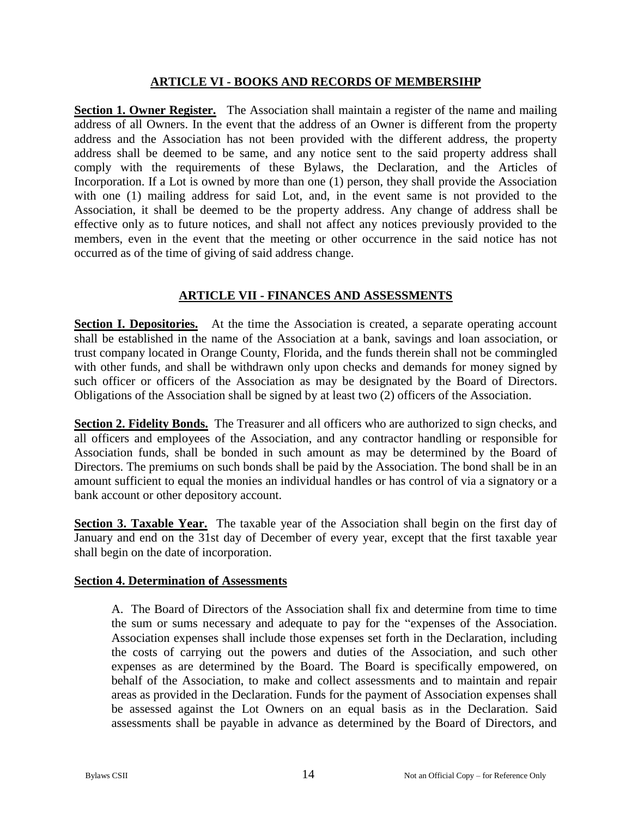#### **ARTICLE VI - BOOKS AND RECORDS OF MEMBERSIHP**

**Section 1. Owner Register.** The Association shall maintain a register of the name and mailing address of all Owners. In the event that the address of an Owner is different from the property address and the Association has not been provided with the different address, the property address shall be deemed to be same, and any notice sent to the said property address shall comply with the requirements of these Bylaws, the Declaration, and the Articles of Incorporation. If a Lot is owned by more than one (1) person, they shall provide the Association with one (1) mailing address for said Lot, and, in the event same is not provided to the Association, it shall be deemed to be the property address. Any change of address shall be effective only as to future notices, and shall not affect any notices previously provided to the members, even in the event that the meeting or other occurrence in the said notice has not occurred as of the time of giving of said address change.

## **ARTICLE VII - FINANCES AND ASSESSMENTS**

**Section I. Depositories.** At the time the Association is created, a separate operating account shall be established in the name of the Association at a bank, savings and loan association, or trust company located in Orange County, Florida, and the funds therein shall not be commingled with other funds, and shall be withdrawn only upon checks and demands for money signed by such officer or officers of the Association as may be designated by the Board of Directors. Obligations of the Association shall be signed by at least two (2) officers of the Association.

**Section 2. Fidelity Bonds.** The Treasurer and all officers who are authorized to sign checks, and all officers and employees of the Association, and any contractor handling or responsible for Association funds, shall be bonded in such amount as may be determined by the Board of Directors. The premiums on such bonds shall be paid by the Association. The bond shall be in an amount sufficient to equal the monies an individual handles or has control of via a signatory or a bank account or other depository account.

**Section 3. Taxable Year.** The taxable year of the Association shall begin on the first day of January and end on the 31st day of December of every year, except that the first taxable year shall begin on the date of incorporation.

#### **Section 4. Determination of Assessments**

A. The Board of Directors of the Association shall fix and determine from time to time the sum or sums necessary and adequate to pay for the "expenses of the Association. Association expenses shall include those expenses set forth in the Declaration, including the costs of carrying out the powers and duties of the Association, and such other expenses as are determined by the Board. The Board is specifically empowered, on behalf of the Association, to make and collect assessments and to maintain and repair areas as provided in the Declaration. Funds for the payment of Association expenses shall be assessed against the Lot Owners on an equal basis as in the Declaration. Said assessments shall be payable in advance as determined by the Board of Directors, and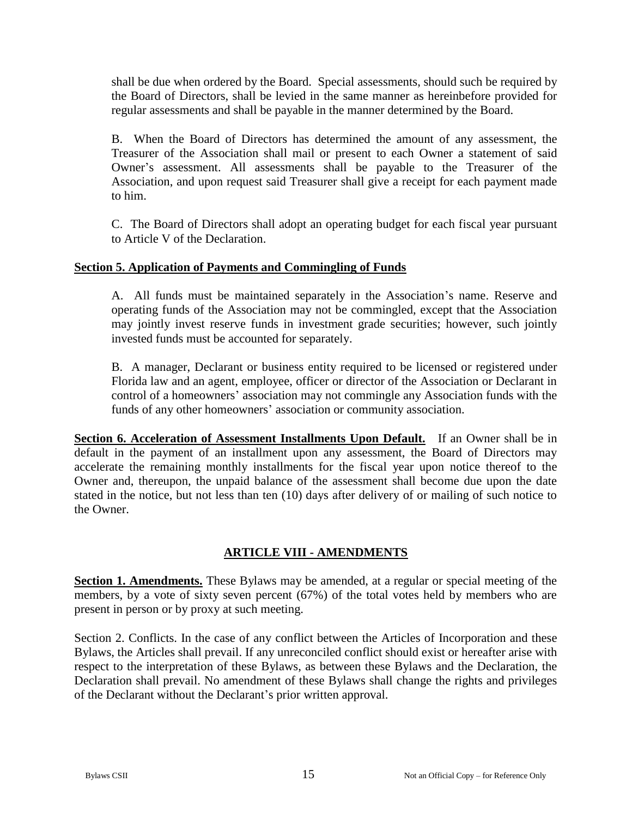shall be due when ordered by the Board. Special assessments, should such be required by the Board of Directors, shall be levied in the same manner as hereinbefore provided for regular assessments and shall be payable in the manner determined by the Board.

B. When the Board of Directors has determined the amount of any assessment, the Treasurer of the Association shall mail or present to each Owner a statement of said Owner's assessment. All assessments shall be payable to the Treasurer of the Association, and upon request said Treasurer shall give a receipt for each payment made to him.

C. The Board of Directors shall adopt an operating budget for each fiscal year pursuant to Article V of the Declaration.

## **Section 5. Application of Payments and Commingling of Funds**

A. All funds must be maintained separately in the Association's name. Reserve and operating funds of the Association may not be commingled, except that the Association may jointly invest reserve funds in investment grade securities; however, such jointly invested funds must be accounted for separately.

B. A manager, Declarant or business entity required to be licensed or registered under Florida law and an agent, employee, officer or director of the Association or Declarant in control of a homeowners' association may not commingle any Association funds with the funds of any other homeowners' association or community association.

**Section 6. Acceleration of Assessment Installments Upon Default.** If an Owner shall be in default in the payment of an installment upon any assessment, the Board of Directors may accelerate the remaining monthly installments for the fiscal year upon notice thereof to the Owner and, thereupon, the unpaid balance of the assessment shall become due upon the date stated in the notice, but not less than ten (10) days after delivery of or mailing of such notice to the Owner.

## **ARTICLE VIII - AMENDMENTS**

**Section 1. Amendments.** These Bylaws may be amended, at a regular or special meeting of the members, by a vote of sixty seven percent (67%) of the total votes held by members who are present in person or by proxy at such meeting.

Section 2. Conflicts. In the case of any conflict between the Articles of Incorporation and these Bylaws, the Articles shall prevail. If any unreconciled conflict should exist or hereafter arise with respect to the interpretation of these Bylaws, as between these Bylaws and the Declaration, the Declaration shall prevail. No amendment of these Bylaws shall change the rights and privileges of the Declarant without the Declarant's prior written approval.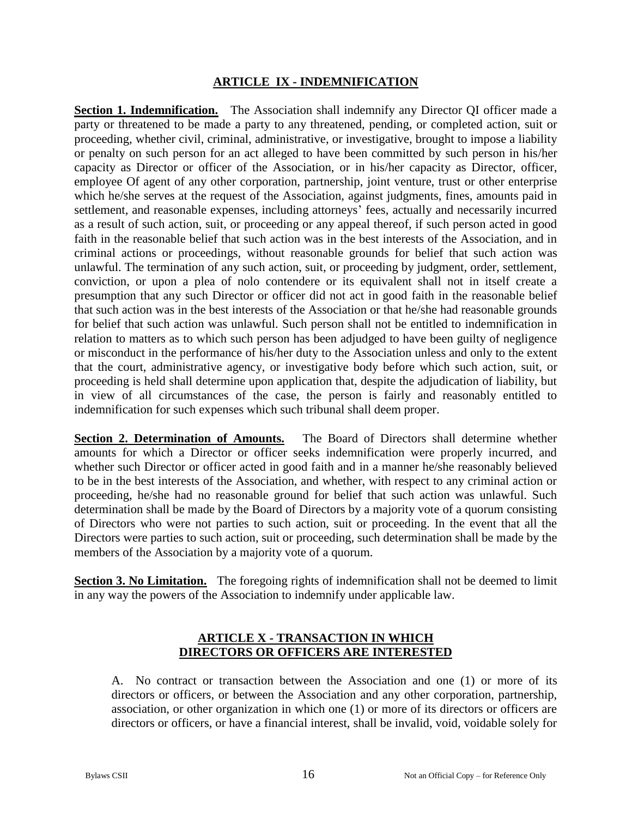#### **ARTICLE IX - INDEMNIFICATION**

**Section 1. Indemnification.** The Association shall indemnify any Director QI officer made a party or threatened to be made a party to any threatened, pending, or completed action, suit or proceeding, whether civil, criminal, administrative, or investigative, brought to impose a liability or penalty on such person for an act alleged to have been committed by such person in his/her capacity as Director or officer of the Association, or in his/her capacity as Director, officer, employee Of agent of any other corporation, partnership, joint venture, trust or other enterprise which he/she serves at the request of the Association, against judgments, fines, amounts paid in settlement, and reasonable expenses, including attorneys' fees, actually and necessarily incurred as a result of such action, suit, or proceeding or any appeal thereof, if such person acted in good faith in the reasonable belief that such action was in the best interests of the Association, and in criminal actions or proceedings, without reasonable grounds for belief that such action was unlawful. The termination of any such action, suit, or proceeding by judgment, order, settlement, conviction, or upon a plea of nolo contendere or its equivalent shall not in itself create a presumption that any such Director or officer did not act in good faith in the reasonable belief that such action was in the best interests of the Association or that he/she had reasonable grounds for belief that such action was unlawful. Such person shall not be entitled to indemnification in relation to matters as to which such person has been adjudged to have been guilty of negligence or misconduct in the performance of his/her duty to the Association unless and only to the extent that the court, administrative agency, or investigative body before which such action, suit, or proceeding is held shall determine upon application that, despite the adjudication of liability, but in view of all circumstances of the case, the person is fairly and reasonably entitled to indemnification for such expenses which such tribunal shall deem proper.

**Section 2. Determination of Amounts.** The Board of Directors shall determine whether amounts for which a Director or officer seeks indemnification were properly incurred, and whether such Director or officer acted in good faith and in a manner he/she reasonably believed to be in the best interests of the Association, and whether, with respect to any criminal action or proceeding, he/she had no reasonable ground for belief that such action was unlawful. Such determination shall be made by the Board of Directors by a majority vote of a quorum consisting of Directors who were not parties to such action, suit or proceeding. In the event that all the Directors were parties to such action, suit or proceeding, such determination shall be made by the members of the Association by a majority vote of a quorum.

**Section 3. No Limitation.** The foregoing rights of indemnification shall not be deemed to limit in any way the powers of the Association to indemnify under applicable law.

#### **ARTICLE X - TRANSACTION IN WHICH DIRECTORS OR OFFICERS ARE INTERESTED**

A. No contract or transaction between the Association and one (1) or more of its directors or officers, or between the Association and any other corporation, partnership, association, or other organization in which one (1) or more of its directors or officers are directors or officers, or have a financial interest, shall be invalid, void, voidable solely for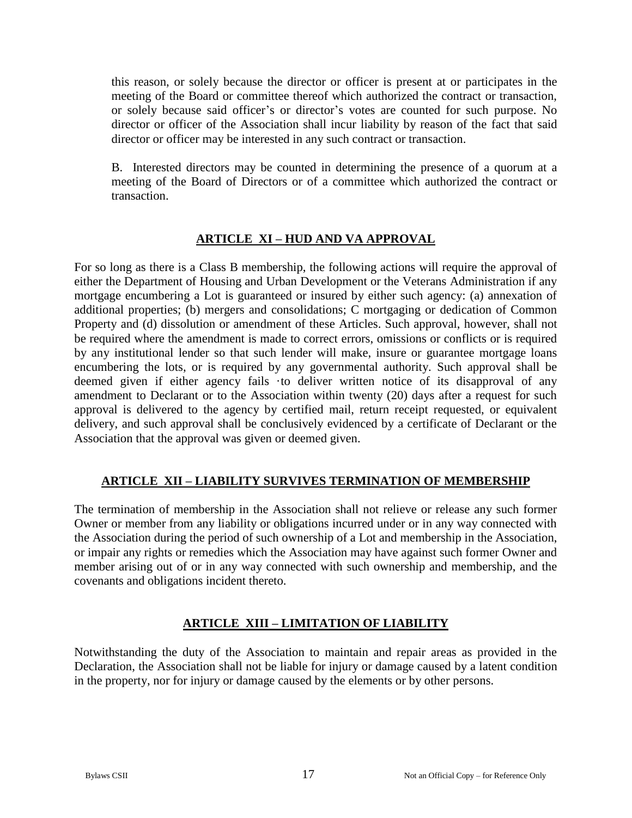this reason, or solely because the director or officer is present at or participates in the meeting of the Board or committee thereof which authorized the contract or transaction, or solely because said officer's or director's votes are counted for such purpose. No director or officer of the Association shall incur liability by reason of the fact that said director or officer may be interested in any such contract or transaction.

B. Interested directors may be counted in determining the presence of a quorum at a meeting of the Board of Directors or of a committee which authorized the contract or transaction.

## **ARTICLE XI – HUD AND VA APPROVAL**

For so long as there is a Class B membership, the following actions will require the approval of either the Department of Housing and Urban Development or the Veterans Administration if any mortgage encumbering a Lot is guaranteed or insured by either such agency: (a) annexation of additional properties; (b) mergers and consolidations; C mortgaging or dedication of Common Property and (d) dissolution or amendment of these Articles. Such approval, however, shall not be required where the amendment is made to correct errors, omissions or conflicts or is required by any institutional lender so that such lender will make, insure or guarantee mortgage loans encumbering the lots, or is required by any governmental authority. Such approval shall be deemed given if either agency fails ·to deliver written notice of its disapproval of any amendment to Declarant or to the Association within twenty (20) days after a request for such approval is delivered to the agency by certified mail, return receipt requested, or equivalent delivery, and such approval shall be conclusively evidenced by a certificate of Declarant or the Association that the approval was given or deemed given.

# **ARTICLE XII – LIABILITY SURVIVES TERMINATION OF MEMBERSHIP**

The termination of membership in the Association shall not relieve or release any such former Owner or member from any liability or obligations incurred under or in any way connected with the Association during the period of such ownership of a Lot and membership in the Association, or impair any rights or remedies which the Association may have against such former Owner and member arising out of or in any way connected with such ownership and membership, and the covenants and obligations incident thereto.

# **ARTICLE XIII – LIMITATION OF LIABILITY**

Notwithstanding the duty of the Association to maintain and repair areas as provided in the Declaration, the Association shall not be liable for injury or damage caused by a latent condition in the property, nor for injury or damage caused by the elements or by other persons.